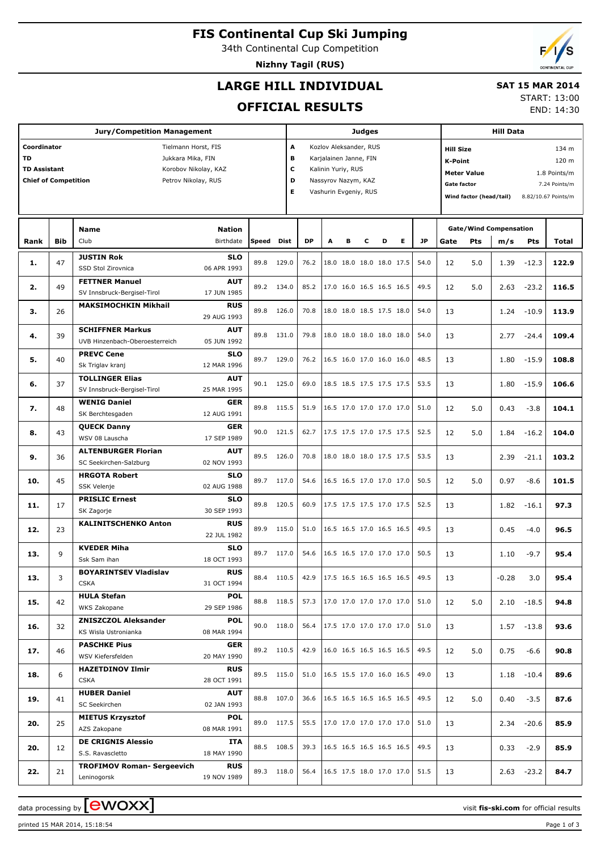# **FIS Continental Cup Ski Jumping**

34th Continental Cup Competition

**Nizhny Tagil (RUS)**

## **LARGE HILL INDIVIDUAL**

### **SAT 15 MAR 2014**

**OFFICIAL RESULTS**

START: 13:00 END: 14:30

|                             |            | <b>Jury/Competition Management</b>               |                           | <b>Judges</b> |             |                             |   |                          |   |                                    |                          | <b>Hill Data</b> |                                    |                         |                     |                               |               |  |
|-----------------------------|------------|--------------------------------------------------|---------------------------|---------------|-------------|-----------------------------|---|--------------------------|---|------------------------------------|--------------------------|------------------|------------------------------------|-------------------------|---------------------|-------------------------------|---------------|--|
| Coordinator                 |            | Tielmann Horst, FIS                              |                           |               |             | Kozlov Aleksander, RUS<br>A |   |                          |   |                                    |                          |                  | <b>Hill Size</b><br>134 m          |                         |                     |                               |               |  |
| <b>TD</b>                   |            | Jukkara Mika, FIN                                |                           |               | в           |                             |   | Karjalainen Janne, FIN   |   |                                    |                          |                  | <b>K-Point</b><br>120 m            |                         |                     |                               |               |  |
| <b>TD Assistant</b>         |            | Korobov Nikolay, KAZ                             |                           |               |             | c<br>Kalinin Yuriy, RUS     |   |                          |   |                                    |                          |                  | <b>Meter Value</b><br>1.8 Points/m |                         |                     |                               |               |  |
| <b>Chief of Competition</b> |            | Petrov Nikolay, RUS                              |                           |               | D           |                             |   | Nassyrov Nazym, KAZ      |   |                                    |                          |                  | <b>Gate factor</b>                 |                         |                     |                               |               |  |
|                             |            |                                                  |                           |               | Е           |                             |   |                          |   |                                    |                          |                  |                                    |                         |                     |                               | 7.24 Points/m |  |
|                             |            |                                                  |                           |               |             | Vashurin Evgeniy, RUS       |   |                          |   |                                    |                          |                  |                                    | Wind factor (head/tail) | 8.82/10.67 Points/m |                               |               |  |
|                             |            |                                                  |                           |               |             |                             |   |                          |   |                                    |                          |                  |                                    |                         |                     |                               |               |  |
|                             |            | <b>Name</b>                                      | <b>Nation</b>             |               |             |                             |   |                          |   |                                    |                          |                  |                                    |                         |                     | <b>Gate/Wind Compensation</b> |               |  |
| Rank                        | <b>Bib</b> | Club                                             | Birthdate                 | Speed         | <b>Dist</b> | <b>DP</b>                   | A | в                        | с | D                                  | Е                        | JP               | Gate                               | Pts                     | m/s                 | Pts                           | Total         |  |
|                             |            | <b>JUSTIN Rok</b>                                | <b>SLO</b>                |               |             |                             |   |                          |   |                                    |                          |                  |                                    |                         |                     |                               |               |  |
| 1.                          | 47         | SSD Stol Zirovnica                               | 06 APR 1993               | 89.8          | 129.0       | 76.2                        |   |                          |   | 18.0 18.0 18.0 18.0 17.5           |                          | 54.0             | 12                                 | 5.0                     | 1.39                | $-12.3$                       | 122.9         |  |
|                             |            | <b>FETTNER Manuel</b>                            | <b>AUT</b>                |               |             |                             |   |                          |   |                                    |                          |                  |                                    |                         |                     |                               |               |  |
| 2.                          | 49         | SV Innsbruck-Bergisel-Tirol                      | 17 JUN 1985               | 89.2          | 134.0       | 85.2                        |   |                          |   | 17.0 16.0 16.5 16.5 16.5           |                          | 49.5             | 12                                 | 5.0                     | 2.63                | $-23.2$                       | 116.5         |  |
|                             |            | <b>MAKSIMOCHKIN Mikhail</b>                      | <b>RUS</b>                |               |             |                             |   |                          |   |                                    |                          |                  |                                    |                         |                     |                               |               |  |
| 3.                          | 26         |                                                  | 29 AUG 1993               | 89.8          | 126.0       | 70.8                        |   |                          |   | 18.0 18.0 18.5 17.5 18.0           |                          | 54.0             | 13                                 |                         | 1.24                | $-10.9$                       | 113.9         |  |
|                             |            | <b>SCHIFFNER Markus</b>                          | <b>AUT</b>                |               |             |                             |   |                          |   |                                    |                          |                  |                                    |                         |                     |                               |               |  |
| 4.                          | 39         | UVB Hinzenbach-Oberoesterreich                   | 05 JUN 1992               | 89.8          | 131.0       | 79.8                        |   |                          |   | 18.0 18.0 18.0 18.0 18.0           |                          | 54.0             | 13                                 |                         | 2.77                | $-24.4$                       | 109.4         |  |
|                             |            | <b>PREVC Cene</b>                                | <b>SLO</b>                |               |             |                             |   |                          |   |                                    |                          |                  |                                    |                         |                     |                               |               |  |
| 5.                          | 40         | Sk Triglav kranj                                 | 12 MAR 1996               | 89.7          | 129.0       | 76.2                        |   | 16.5 16.0 17.0 16.0 16.0 |   |                                    |                          | 48.5             | 13                                 |                         | 1.80                | $-15.9$                       | 108.8         |  |
| 6.                          |            | <b>TOLLINGER Elias</b>                           | <b>AUT</b>                | 90.1          | 125.0       | 69.0                        |   |                          |   | 18.5 18.5 17.5 17.5 17.5           |                          | 53.5             |                                    |                         |                     |                               | 106.6         |  |
|                             | 37         | SV Innsbruck-Bergisel-Tirol                      | 25 MAR 1995               |               |             |                             |   |                          |   |                                    |                          |                  | 13                                 |                         | 1.80                | $-15.9$                       |               |  |
| 7.                          | 48         | <b>WENIG Daniel</b>                              | <b>GER</b>                | 89.8          | 115.5       | 51.9                        |   |                          |   | 16.5 17.0 17.0 17.0 17.0           |                          | 51.0             | 12                                 | 5.0                     | 0.43                | $-3.8$                        | 104.1         |  |
|                             |            | SK Berchtesgaden                                 | 12 AUG 1991               |               |             |                             |   |                          |   |                                    |                          |                  |                                    |                         |                     |                               |               |  |
| 8.                          | 43         | <b>QUECK Danny</b>                               | <b>GER</b>                | 90.0          | 121.5       | 62.7                        |   |                          |   | 17.5 17.5 17.0 17.5 17.5           |                          | 52.5             | 12                                 | 5.0                     | 1.84                | $-16.2$                       | 104.0         |  |
|                             |            | WSV 08 Lauscha                                   | 17 SEP 1989               |               |             |                             |   |                          |   |                                    |                          |                  |                                    |                         |                     |                               |               |  |
| 9.                          | 36         | <b>ALTENBURGER Florian</b>                       | <b>AUT</b>                | 89.5          | 126.0       | 70.8                        |   |                          |   | 18.0 18.0 18.0 17.5 17.5           |                          | 53.5             | 13                                 |                         | 2.39                | $-21.1$                       | 103.2         |  |
|                             |            | SC Seekirchen-Salzburg                           | 02 NOV 1993               |               |             |                             |   |                          |   |                                    |                          |                  |                                    |                         |                     |                               |               |  |
| 10.                         | 45         | <b>HRGOTA Robert</b>                             | <b>SLO</b>                | 89.7          | 117.0       | 54.6                        |   |                          |   | 16.5 16.5 17.0 17.0 17.0           |                          | 50.5             | 12                                 | 5.0                     | 0.97                | $-8.6$                        | 101.5         |  |
|                             |            | SSK Velenje                                      | 02 AUG 1988               |               |             |                             |   |                          |   |                                    |                          |                  |                                    |                         |                     |                               |               |  |
| 11.                         | 17         | <b>PRISLIC Ernest</b>                            | <b>SLO</b>                | 89.8          | 120.5       | 60.9                        |   |                          |   |                                    | 17.5 17.5 17.5 17.0 17.5 | 52.5             | 13                                 |                         | 1.82                | $-16.1$                       | 97.3          |  |
|                             |            | SK Zagorje                                       | 30 SEP 1993               |               |             |                             |   |                          |   |                                    |                          |                  |                                    |                         |                     |                               |               |  |
| 12.                         | 23         | <b>KALINITSCHENKO Anton</b>                      | <b>RUS</b><br>22 JUL 1982 | 89.9          | 115.0       | 51.0                        |   |                          |   |                                    | 16.5 16.5 17.0 16.5 16.5 | 49.5             | 13                                 |                         | 0.45                | $-4.0$                        | 96.5          |  |
|                             |            | <b>KVEDER Miha</b>                               | <b>SLO</b>                |               |             |                             |   |                          |   |                                    |                          |                  |                                    |                         |                     |                               |               |  |
| 13.                         | 9          | Ssk Sam ihan                                     | 18 OCT 1993               | 89.7          | 117.0       | 54.6                        |   | 16.5 16.5 17.0 17.0 17.0 |   |                                    |                          | 50.5             | 13                                 |                         | 1.10                | $-9.7$                        | 95.4          |  |
|                             |            | <b>BOYARINTSEV Vladislav</b>                     | <b>RUS</b>                |               |             |                             |   |                          |   |                                    |                          |                  |                                    |                         |                     |                               |               |  |
| 13.                         | 3          | <b>CSKA</b>                                      | 31 OCT 1994               |               | 88.4 110.5  |                             |   |                          |   | 42.9 17.5 16.5 16.5 16.5 16.5 49.5 |                          |                  | 13                                 |                         | $-0.28$             | 3.0                           | 95.4          |  |
|                             |            | <b>HULA Stefan</b>                               | <b>POL</b>                |               |             |                             |   |                          |   |                                    |                          |                  |                                    |                         |                     |                               |               |  |
| 15.                         | 42         | WKS Zakopane                                     | 29 SEP 1986               |               | 88.8 118.5  |                             |   |                          |   | 57.3 17.0 17.0 17.0 17.0 17.0      |                          | 51.0             | 12                                 | 5.0                     |                     | $2.10 - 18.5$                 | 94.8          |  |
|                             |            | <b>ZNISZCZOL Aleksander</b>                      | <b>POL</b>                |               |             |                             |   |                          |   | 17.5 17.0 17.0 17.0 17.0           |                          |                  |                                    |                         |                     |                               |               |  |
| 16.                         | 32         | KS Wisla Ustronianka                             | 08 MAR 1994               |               | 90.0 118.0  | 56.4                        |   |                          |   |                                    |                          | 51.0             | 13                                 |                         |                     | $1.57 - 13.8$                 | 93.6          |  |
|                             |            | <b>PASCHKE Pius</b>                              | GER                       |               | 89.2 110.5  | 42.9                        |   |                          |   | 16.0 16.5 16.5 16.5 16.5           |                          | 49.5             |                                    |                         |                     |                               |               |  |
| 17.                         | 46         | WSV Kiefersfelden                                | 20 MAY 1990               |               |             |                             |   |                          |   |                                    |                          |                  | 12                                 | 5.0                     | 0.75                | $-6.6$                        | 90.8          |  |
| 18.                         | 6          | <b>HAZETDINOV Ilmir</b>                          | <b>RUS</b>                |               | 89.5 115.0  | 51.0                        |   |                          |   | 16.5 15.5 17.0 16.0 16.5           |                          | 49.0             | 13                                 |                         |                     | $1.18 - 10.4$                 | 89.6          |  |
|                             |            | <b>CSKA</b>                                      | 28 OCT 1991               |               |             |                             |   |                          |   |                                    |                          |                  |                                    |                         |                     |                               |               |  |
| 19.                         | 41         | <b>HUBER Daniel</b>                              | <b>AUT</b>                | 88.8          | 107.0       | 36.6                        |   |                          |   | 16.5 16.5 16.5 16.5 16.5           |                          | 49.5             | 12                                 | 5.0                     | 0.40                | $-3.5$                        | 87.6          |  |
|                             |            | SC Seekirchen                                    | 02 JAN 1993               |               |             |                             |   |                          |   |                                    |                          |                  |                                    |                         |                     |                               |               |  |
| 20.                         | 25         | <b>MIETUS Krzysztof</b>                          | <b>POL</b>                |               | 89.0 117.5  |                             |   |                          |   | 55.5   17.0 17.0 17.0 17.0 17.0    |                          | 51.0             | 13                                 |                         |                     | $2.34 - 20.6$                 | 85.9          |  |
|                             |            | AZS Zakopane                                     | 08 MAR 1991               |               |             |                             |   |                          |   |                                    |                          |                  |                                    |                         |                     |                               |               |  |
| 20.                         | 12         | <b>DE CRIGNIS Alessio</b><br>S.S. Ravascletto    | ITA<br>18 MAY 1990        |               | 88.5 108.5  | 39.3                        |   |                          |   | 16.5 16.5 16.5 16.5 16.5           |                          | 49.5             | 13                                 |                         | 0.33                | $-2.9$                        | 85.9          |  |
|                             |            |                                                  |                           |               |             |                             |   |                          |   |                                    |                          |                  |                                    |                         |                     |                               |               |  |
| 22.                         | 21         | <b>TROFIMOV Roman- Sergeevich</b><br>Leninogorsk | <b>RUS</b><br>19 NOV 1989 |               | 89.3 118.0  | 56.4                        |   |                          |   | 16.5 17.5 18.0 17.0 17.0           |                          | 51.5             | 13                                 |                         |                     | $2.63 - 23.2$                 | 84.7          |  |
|                             |            |                                                  |                           |               |             |                             |   |                          |   |                                    |                          |                  |                                    |                         |                     |                               |               |  |

data processing by **CWOXX** and  $\overline{C}$  and  $\overline{C}$  and  $\overline{C}$  and  $\overline{C}$  and  $\overline{C}$  and  $\overline{C}$  and  $\overline{C}$  and  $\overline{C}$  and  $\overline{C}$  and  $\overline{C}$  and  $\overline{C}$  and  $\overline{C}$  and  $\overline{C}$  and  $\overline{C}$  and  $\overline{C}$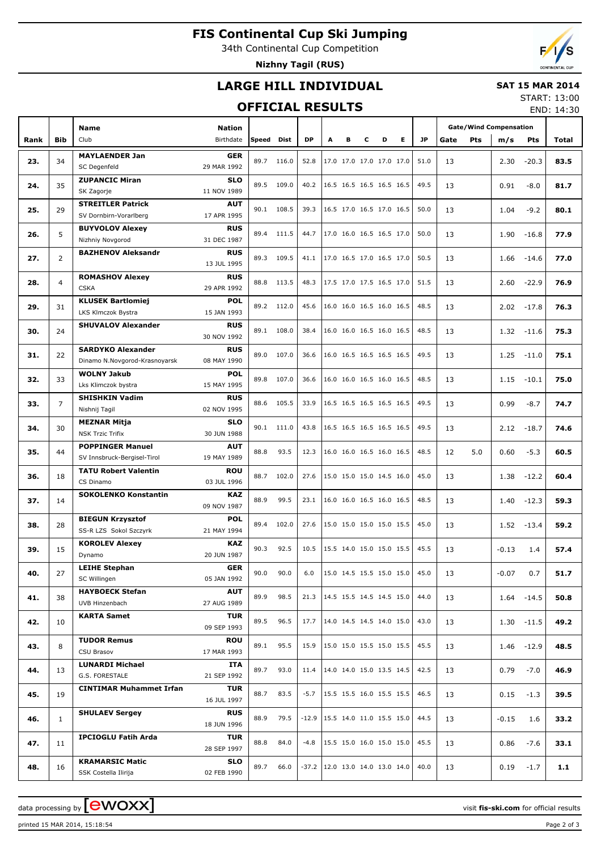# **FIS Continental Cup Ski Jumping**

34th Continental Cup Competition

**Nizhny Tagil (RUS)**

## **LARGE HILL INDIVIDUAL**

#### **SAT 15 MAR 2014**

#### **OFFICIAL RESULTS**

START: 13:00 END: 14:30

|      |                | <b>Name</b><br>Nation          |             |            |            |                                    |                                        |   |                          |                          |                          |      |      |            | <b>Gate/Wind Compensation</b> |               |       |  |
|------|----------------|--------------------------------|-------------|------------|------------|------------------------------------|----------------------------------------|---|--------------------------|--------------------------|--------------------------|------|------|------------|-------------------------------|---------------|-------|--|
| Rank | Bib            | Club                           | Birthdate   | Speed      | Dist       | <b>DP</b>                          | A                                      | в | c                        | D                        | E.                       | JP.  | Gate | <b>Pts</b> | m/s                           | <b>Pts</b>    | Total |  |
|      |                |                                |             |            |            |                                    |                                        |   |                          |                          |                          |      |      |            |                               |               |       |  |
| 23.  | 34             | <b>MAYLAENDER Jan</b>          | <b>GER</b>  | 89.7       | 116.0      | 52.8                               |                                        |   | 17.0 17.0 17.0 17.0 17.0 |                          |                          | 51.0 | 13   |            | 2.30                          | $-20.3$       | 83.5  |  |
|      |                | SC Degenfeld                   | 29 MAR 1992 |            |            |                                    |                                        |   |                          |                          |                          |      |      |            |                               |               |       |  |
| 24.  | 35             | <b>ZUPANCIC Miran</b>          | <b>SLO</b>  | 89.5       | 109.0      | 40.2                               |                                        |   | 16.5 16.5 16.5 16.5 16.5 |                          |                          | 49.5 | 13   |            | 0.91                          | $-8.0$        | 81.7  |  |
|      |                | SK Zagorje                     | 11 NOV 1989 |            |            |                                    |                                        |   |                          |                          |                          |      |      |            |                               |               |       |  |
|      |                | <b>STREITLER Patrick</b>       | AUT         |            |            |                                    |                                        |   |                          |                          |                          |      |      |            |                               |               |       |  |
| 25.  | 29             | SV Dornbirn-Vorarlberg         | 17 APR 1995 |            | 90.1 108.5 | 39.3                               |                                        |   | 16.5 17.0 16.5 17.0 16.5 |                          |                          | 50.0 | 13   |            | 1.04                          | $-9.2$        | 80.1  |  |
|      |                | <b>BUYVOLOV Alexey</b>         | <b>RUS</b>  |            |            |                                    |                                        |   |                          |                          |                          |      |      |            |                               |               |       |  |
| 26.  | 5              | Nizhniy Novgorod               | 31 DEC 1987 |            | 89.4 111.5 | 44.7                               |                                        |   | 17.0 16.0 16.5 16.5 17.0 |                          |                          | 50.0 | 13   |            | 1.90                          | $-16.8$       | 77.9  |  |
|      |                |                                |             |            |            |                                    |                                        |   |                          |                          |                          |      |      |            |                               |               |       |  |
| 27.  | $\overline{2}$ | <b>BAZHENOV Aleksandr</b>      | <b>RUS</b>  |            | 89.3 109.5 | 41.1                               |                                        |   | 17.0 16.5 17.0 16.5 17.0 |                          |                          | 50.5 | 13   |            | 1.66                          | $-14.6$       | 77.0  |  |
|      |                |                                | 13 JUL 1995 |            |            |                                    |                                        |   |                          |                          |                          |      |      |            |                               |               |       |  |
| 28.  | $\overline{4}$ | <b>ROMASHOV Alexey</b>         | <b>RUS</b>  |            | 88.8 113.5 | 48.3                               |                                        |   | 17.5 17.0 17.5 16.5 17.0 |                          |                          | 51.5 | 13   |            | 2.60                          | $-22.9$       | 76.9  |  |
|      |                | <b>CSKA</b>                    | 29 APR 1992 |            |            |                                    |                                        |   |                          |                          |                          |      |      |            |                               |               |       |  |
|      |                | <b>KLUSEK Bartlomiej</b>       | <b>POL</b>  |            |            |                                    |                                        |   |                          |                          |                          |      |      |            |                               |               |       |  |
| 29.  | 31             | LKS Klmczok Bystra             | 15 JAN 1993 |            | 89.2 112.0 | 45.6                               |                                        |   | 16.0 16.0 16.5 16.0 16.5 |                          |                          | 48.5 | 13   |            | 2.02                          | $-17.8$       | 76.3  |  |
|      |                | <b>SHUVALOV Alexander</b>      | <b>RUS</b>  |            |            |                                    |                                        |   |                          |                          |                          |      |      |            |                               |               |       |  |
| 30.  | 24             |                                | 30 NOV 1992 | 89.1       | 108.0      | 38.4                               |                                        |   | 16.0 16.0 16.5 16.0 16.5 |                          |                          | 48.5 | 13   |            | 1.32                          | $-11.6$       | 75.3  |  |
|      |                | <b>SARDYKO Alexander</b>       | <b>RUS</b>  |            |            |                                    |                                        |   |                          |                          |                          |      |      |            |                               |               |       |  |
| 31.  | 22             |                                |             | 89.0       | 107.0      | 36.6                               |                                        |   | 16.0 16.5 16.5 16.5 16.5 |                          |                          | 49.5 | 13   |            | 1.25                          | $-11.0$       | 75.1  |  |
|      |                | Dinamo N.Novgorod-Krasnoyarsk  | 08 MAY 1990 |            |            |                                    |                                        |   |                          |                          |                          |      |      |            |                               |               |       |  |
| 32.  | 33             | <b>WOLNY Jakub</b>             | <b>POL</b>  | 89.8       | 107.0      | 36.6                               |                                        |   | 16.0 16.0 16.5 16.0 16.5 |                          |                          | 48.5 | 13   |            | 1.15                          | $-10.1$       | 75.0  |  |
|      |                | Lks Klimczok bystra            | 15 MAY 1995 |            |            |                                    |                                        |   |                          |                          |                          |      |      |            |                               |               |       |  |
| 33.  | $\overline{7}$ | <b>SHISHKIN Vadim</b>          | <b>RUS</b>  | 88.6       | 105.5      | 33.9                               |                                        |   | 16.5 16.5 16.5 16.5 16.5 |                          |                          | 49.5 | 13   |            | 0.99                          | $-8.7$        | 74.7  |  |
|      |                | Nishnij Tagil                  | 02 NOV 1995 |            |            |                                    |                                        |   |                          |                          |                          |      |      |            |                               |               |       |  |
|      |                | <b>MEZNAR Mitja</b>            | <b>SLO</b>  |            |            |                                    |                                        |   |                          |                          |                          |      |      |            |                               |               |       |  |
| 34.  | 30             | <b>NSK Trzic Trifix</b>        | 30 JUN 1988 | 90.1 111.0 |            | 43.8                               |                                        |   | 16.5 16.5 16.5 16.5 16.5 |                          |                          | 49.5 | 13   |            | 2.12                          | $-18.7$       | 74.6  |  |
|      |                | <b>POPPINGER Manuel</b>        | <b>AUT</b>  |            |            |                                    |                                        |   |                          |                          |                          |      |      |            |                               |               |       |  |
| 35.  | 44             | SV Innsbruck-Bergisel-Tirol    | 19 MAY 1989 | 88.8       | 93.5       | 12.3                               |                                        |   | 16.0 16.0 16.5 16.0 16.5 |                          |                          | 48.5 | 12   | 5.0        | 0.60                          | $-5.3$        | 60.5  |  |
|      |                |                                |             |            |            |                                    |                                        |   |                          |                          |                          |      |      |            |                               |               |       |  |
| 36.  | 18             | <b>TATU Robert Valentin</b>    | <b>ROU</b>  | 88.7       | 102.0      | 27.6                               |                                        |   | 15.0 15.0 15.0 14.5 16.0 |                          |                          | 45.0 | 13   |            | 1.38                          | $-12.2$       | 60.4  |  |
|      |                | CS Dinamo                      | 03 JUL 1996 |            |            |                                    |                                        |   |                          |                          |                          |      |      |            |                               |               |       |  |
| 37.  | 14             | <b>SOKOLENKO Konstantin</b>    | <b>KAZ</b>  | 88.9       | 99.5       | 23.1                               |                                        |   |                          |                          | 16.0 16.0 16.5 16.0 16.5 | 48.5 | 13   |            | 1.40                          | $-12.3$       | 59.3  |  |
|      |                |                                | 09 NOV 1987 |            |            |                                    |                                        |   |                          |                          |                          |      |      |            |                               |               |       |  |
| 38.  |                | <b>BIEGUN Krzysztof</b>        | <b>POL</b>  | 89.4       | 102.0      | 27.6                               |                                        |   |                          |                          |                          | 45.0 | 13   |            |                               |               | 59.2  |  |
|      | 28             | SS-R LZS Sokol Szczyrk         | 21 MAY 1994 |            |            |                                    |                                        |   |                          |                          | 15.0 15.0 15.0 15.0 15.5 |      |      |            | 1.52                          | $-13.4$       |       |  |
|      |                | <b>KOROLEV Alexey</b>          | <b>KAZ</b>  |            |            |                                    |                                        |   |                          |                          |                          |      |      |            |                               |               |       |  |
| 39.  | 15             | Dynamo                         | 20 JUN 1987 | 90.3       | 92.5       | 10.5                               |                                        |   | 15.5 14.0 15.0 15.0 15.5 |                          |                          | 45.5 | 13   |            | $-0.13$                       | 1.4           | 57.4  |  |
|      |                | <b>LEIHE Stephan</b>           | GER         |            |            |                                    |                                        |   |                          |                          |                          |      |      |            |                               |               |       |  |
| 40.  | 27             | SC Willingen                   | 05 JAN 1992 | 90.0       | 90.0       | 6.0                                | 15.0 14.5 15.5 15.0 15.0<br>45.0<br>13 |   |                          | $-0.07$                  | 0.7                      | 51.7 |      |            |                               |               |       |  |
|      |                |                                |             |            |            |                                    |                                        |   |                          |                          |                          |      |      |            |                               |               |       |  |
| 41.  | 38             | <b>HAYBOECK Stefan</b>         | <b>AUT</b>  | 89.9       | 98.5       | 21.3                               |                                        |   | 14.5 15.5 14.5 14.5 15.0 |                          |                          | 44.0 | 13   |            | 1.64                          | $-14.5$       | 50.8  |  |
|      |                | UVB Hinzenbach                 | 27 AUG 1989 |            |            |                                    |                                        |   |                          |                          |                          |      |      |            |                               |               |       |  |
| 42.  | 10             | <b>KARTA Samet</b>             | <b>TUR</b>  | 89.5       | 96.5       | 17.7                               |                                        |   | 14.0 14.5 14.5 14.0 15.0 |                          |                          | 43.0 | 13   |            |                               | $1.30 - 11.5$ | 49.2  |  |
|      |                |                                | 09 SEP 1993 |            |            |                                    |                                        |   |                          |                          |                          |      |      |            |                               |               |       |  |
| 43.  | 8              | <b>TUDOR Remus</b>             | <b>ROU</b>  | 89.1       | 95.5       | 15.9                               |                                        |   | 15.0 15.0 15.5 15.0 15.5 |                          |                          | 45.5 |      |            |                               |               | 48.5  |  |
|      |                | CSU Brasov                     | 17 MAR 1993 |            |            |                                    |                                        |   |                          |                          |                          |      | 13   |            |                               | $1.46 - 12.9$ |       |  |
|      |                | <b>LUNARDI Michael</b>         | ITA         |            |            |                                    |                                        |   |                          |                          |                          |      |      |            |                               |               |       |  |
| 44.  | 13             | G.S. FORESTALE                 | 21 SEP 1992 | 89.7       | 93.0       | 11.4                               |                                        |   | 14.0 14.0 15.0 13.5 14.5 |                          |                          | 42.5 | 13   |            | 0.79                          | $-7.0$        | 46.9  |  |
|      |                | <b>CINTIMAR Muhammet Irfan</b> | <b>TUR</b>  |            |            |                                    |                                        |   |                          |                          |                          |      |      |            |                               |               |       |  |
| 45.  | 19             |                                | 16 JUL 1997 | 88.7       | 83.5       | $-5.7$                             |                                        |   | 15.5 15.5 16.0 15.5 15.5 |                          |                          | 46.5 | 13   |            | 0.15                          | $-1.3$        | 39.5  |  |
|      |                |                                |             |            |            |                                    |                                        |   |                          |                          |                          |      |      |            |                               |               |       |  |
| 46.  | 1              | <b>SHULAEV Sergey</b>          | <b>RUS</b>  | 88.9       | 79.5       | $-12.9$                            |                                        |   |                          | 15.5 14.0 11.0 15.5 15.0 |                          | 44.5 | 13   |            | -0.15                         | 1.6           | 33.2  |  |
|      |                |                                | 18 JUN 1996 |            |            |                                    |                                        |   |                          |                          |                          |      |      |            |                               |               |       |  |
| 47.  | 11             | <b>IPCIOGLU Fatih Arda</b>     | <b>TUR</b>  | 88.8       | 84.0       | -4.8                               |                                        |   | 15.5 15.0 16.0 15.0 15.0 |                          |                          | 45.5 | 13   |            | 0.86                          | $-7.6$        | 33.1  |  |
|      |                |                                | 28 SEP 1997 |            |            |                                    |                                        |   |                          |                          |                          |      |      |            |                               |               |       |  |
| 48.  |                | <b>KRAMARSIC Matic</b>         | <b>SLO</b>  | 89.7       | 66.0       | $-37.2$   12.0 13.0 14.0 13.0 14.0 |                                        |   |                          |                          |                          | 40.0 |      |            |                               |               | 1.1   |  |
|      | 16             | SSK Costella Ilirija           | 02 FEB 1990 |            |            |                                    |                                        |   |                          |                          |                          |      | 13   |            | 0.19                          | $-1.7$        |       |  |

printed 15 MAR 2014, 15:18:54 Page 2 of 3

data processing by **CWOXX** and  $\overline{C}$  and  $\overline{C}$  and  $\overline{C}$  and  $\overline{C}$  and  $\overline{C}$  and  $\overline{C}$  and  $\overline{C}$  and  $\overline{C}$  and  $\overline{C}$  and  $\overline{C}$  and  $\overline{C}$  and  $\overline{C}$  and  $\overline{C}$  and  $\overline{C}$  and  $\overline{C}$